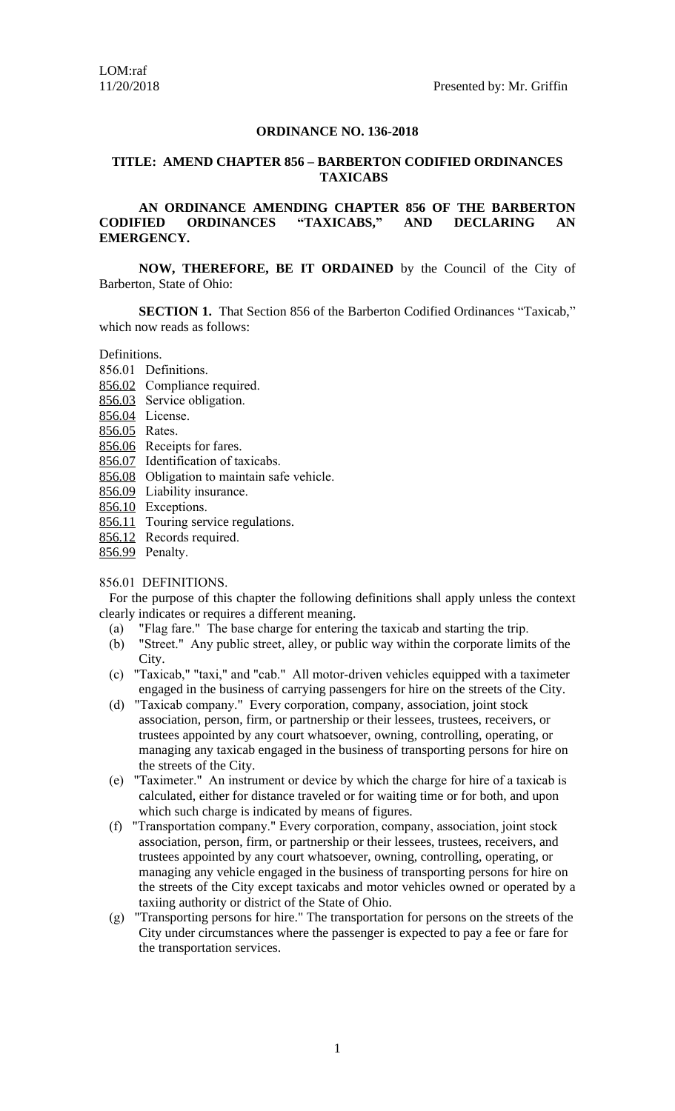#### **EMERGENCY.**

**NOW, THEREFORE, BE IT ORDAINED** by the Council of the City of Barberton, State of Ohio:

**SECTION 1.** That Section 856 of the Barberton Codified Ordinances "Taxicab," which now reads as follows:

Definitions.

- 856.01 Definitions.
- 856.02 Compliance required.
- 856.03 Service obligation.
- 856.04 License.
- 856.05 Rates.
- 856.06 Receipts for fares.
- 856.07 Identification of taxicabs.
- 856.08 Obligation to maintain safe vehicle.
- 856.09 Liability insurance.
- 856.10 Exceptions.
- 856.11 Touring service regulations.
- 856.12 Records required.
- 856.99 Penalty.

## 856.01 DEFINITIONS.

For the purpose of this chapter the following definitions shall apply unless the context clearly indicates or requires a different meaning.

- [\(a\)](http://library.amlegal.com/nxt/gateway.dll?f=jumplink$jumplink_x=Advanced$jumplink_vpc=first$jumplink_xsl=querylink.xsl$jumplink_sel=title;path;content-type;home-title;item-bookmark$jumplink_d=ohio(barbcode)$jumplink_q=%5bfield%20folio-destination-name:) "Flag fare." The base charge for entering the taxicab and starting the trip.
- [\(b\)](http://library.amlegal.com/nxt/gateway.dll?f=jumplink$jumplink_x=Advanced$jumplink_vpc=first$jumplink_xsl=querylink.xsl$jumplink_sel=title;path;content-type;home-title;item-bookmark$jumplink_d=ohio(barbcode)$jumplink_q=%5bfield%20folio-destination-name:) "Street." Any public street, alley, or public way within the corporate limits of the City.
- [\(c\) "](http://library.amlegal.com/nxt/gateway.dll?f=jumplink$jumplink_x=Advanced$jumplink_vpc=first$jumplink_xsl=querylink.xsl$jumplink_sel=title;path;content-type;home-title;item-bookmark$jumplink_d=ohio(barbcode)$jumplink_q=%5bfield%20folio-destination-name:)Taxicab," "taxi," and "cab." All motor-driven vehicles equipped with a taximeter engaged in the business of carrying passengers for hire on the streets of the City.
- [\(d\) "](http://library.amlegal.com/nxt/gateway.dll?f=jumplink$jumplink_x=Advanced$jumplink_vpc=first$jumplink_xsl=querylink.xsl$jumplink_sel=title;path;content-type;home-title;item-bookmark$jumplink_d=ohio(barbcode)$jumplink_q=%5bfield%20folio-destination-name:)Taxicab company." Every corporation, company, association, joint stock association, person, firm, or partnership or their lessees, trustees, receivers, or trustees appointed by any court whatsoever, owning, controlling, operating, or managing any taxicab engaged in the business of transporting persons for hire on the streets of the City.
- [\(e\) "](http://library.amlegal.com/nxt/gateway.dll?f=jumplink$jumplink_x=Advanced$jumplink_vpc=first$jumplink_xsl=querylink.xsl$jumplink_sel=title;path;content-type;home-title;item-bookmark$jumplink_d=ohio(barbcode)$jumplink_q=%5bfield%20folio-destination-name:)Taximeter." An instrument or device by which the charge for hire of a taxicab is calculated, either for distance traveled or for waiting time or for both, and upon which such charge is indicated by means of figures.
- (f) "Transportation company." Every corporation, company, association, joint stock association, person, firm, or partnership or their lessees, trustees, receivers, and trustees appointed by any court whatsoever, owning, controlling, operating, or managing any vehicle engaged in the business of transporting persons for hire on the streets of the City except taxicabs and motor vehicles owned or operated by a taxiing authority or district of the State of Ohio.
- (g) "Transporting persons for hire." The transportation for persons on the streets of the City under circumstances where the passenger is expected to pay a fee or fare for the transportation services.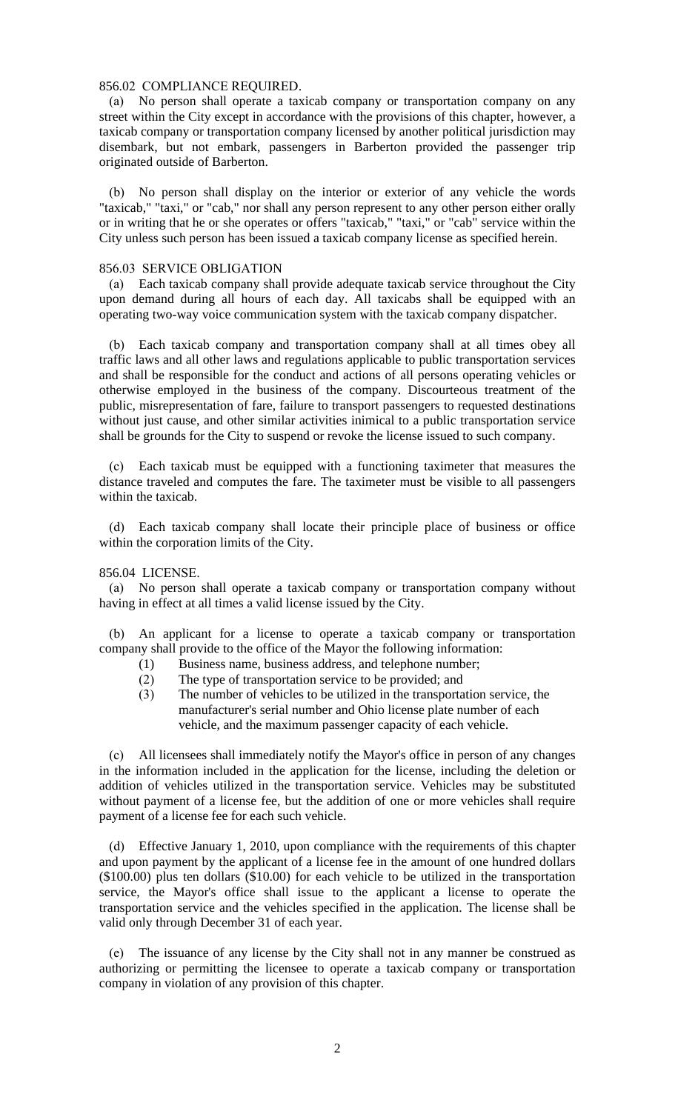#### 856.02 COMPLIANCE REQUIRED.

 (a) No person shall operate a taxicab company or transportation company on any street within the City except in accordance with the provisions of this chapter, however, a taxicab company or transportation company licensed by another political jurisdiction may disembark, but not embark, passengers in Barberton provided the passenger trip originated outside of Barberton.

 (b) No person shall display on the interior or exterior of any vehicle the words "taxicab," "taxi," or "cab," nor shall any person represent to any other person either orally or in writing that he or she operates or offers "taxicab," "taxi," or "cab" service within the City unless such person has been issued a taxicab company license as specified herein.

## 856.03 SERVICE OBLIGATION

 (a) Each taxicab company shall provide adequate taxicab service throughout the City upon demand during all hours of each day. All taxicabs shall be equipped with an operating two-way voice communication system with the taxicab company dispatcher.

 (b) Each taxicab company and transportation company shall at all times obey all traffic laws and all other laws and regulations applicable to public transportation services and shall be responsible for the conduct and actions of all persons operating vehicles or otherwise employed in the business of the company. Discourteous treatment of the public, misrepresentation of fare, failure to transport passengers to requested destinations without just cause, and other similar activities inimical to a public transportation service shall be grounds for the City to suspend or revoke the license issued to such company.

 (c) Each taxicab must be equipped with a functioning taximeter that measures the distance traveled and computes the fare. The taximeter must be visible to all passengers within the taxicab.

 (d) Each taxicab company shall locate their principle place of business or office within the corporation limits of the City.

## 856.04 LICENSE.

 (a) No person shall operate a taxicab company or transportation company without having in effect at all times a valid license issued by the City.

 (b) An applicant for a license to operate a taxicab company or transportation company shall provide to the office of the Mayor the following information:

- (1) Business name, business address, and telephone number;
- (2) The type of transportation service to be provided; and
- (3) The number of vehicles to be utilized in the transportation service, the manufacturer's serial number and Ohio license plate number of each vehicle, and the maximum passenger capacity of each vehicle.

 (c) All licensees shall immediately notify the Mayor's office in person of any changes in the information included in the application for the license, including the deletion or addition of vehicles utilized in the transportation service. Vehicles may be substituted without payment of a license fee, but the addition of one or more vehicles shall require payment of a license fee for each such vehicle.

 (d) Effective January 1, 2010, upon compliance with the requirements of this chapter and upon payment by the applicant of a license fee in the amount of one hundred dollars (\$100.00) plus ten dollars (\$10.00) for each vehicle to be utilized in the transportation service, the Mayor's office shall issue to the applicant a license to operate the transportation service and the vehicles specified in the application. The license shall be valid only through December 31 of each year.

 (e) The issuance of any license by the City shall not in any manner be construed as authorizing or permitting the licensee to operate a taxicab company or transportation company in violation of any provision of this chapter.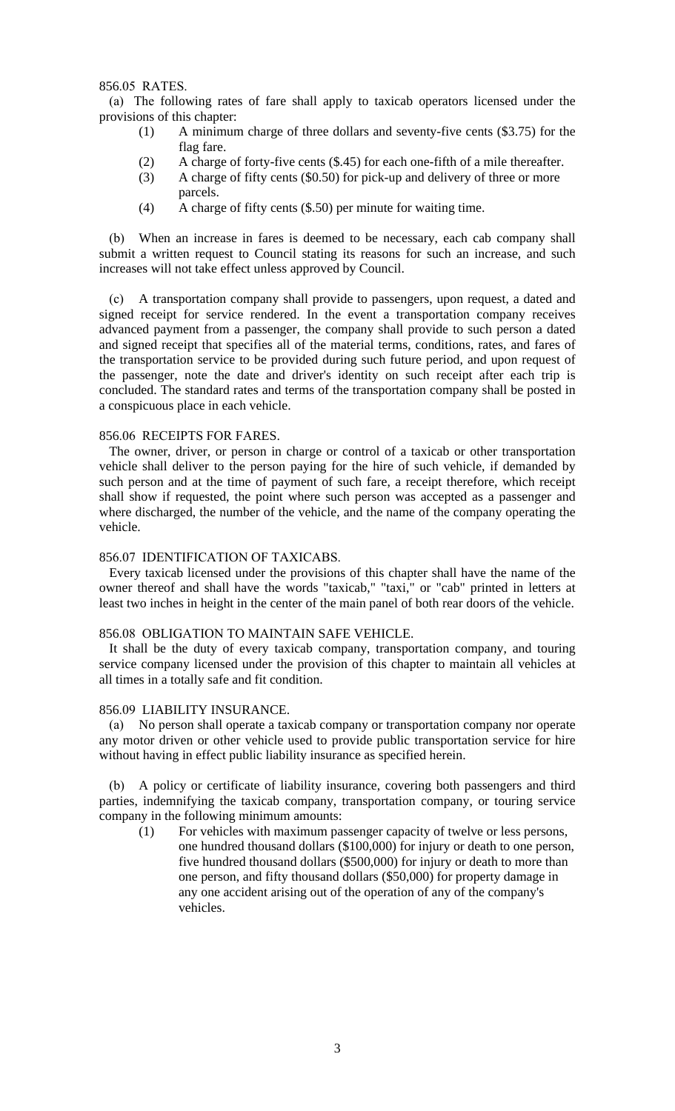856.05 RATES.

(a) The following rates of fare shall apply to taxicab operators licensed under the provisions of this chapter:

- (1) A minimum charge of three dollars and seventy-five cents (\$3.75) for the flag fare.
- (2) A charge of forty-five cents (\$.45) for each one-fifth of a mile thereafter.
- (3) A charge of fifty cents (\$0.50) for pick-up and delivery of three or more parcels.
- (4) A charge of fifty cents (\$.50) per minute for waiting time.

 (b) When an increase in fares is deemed to be necessary, each cab company shall submit a written request to Council stating its reasons for such an increase, and such increases will not take effect unless approved by Council.

A transportation company shall provide to passengers, upon request, a dated and signed receipt for service rendered. In the event a transportation company receives advanced payment from a passenger, the company shall provide to such person a dated and signed receipt that specifies all of the material terms, conditions, rates, and fares of the transportation service to be provided during such future period, and upon request of the passenger, note the date and driver's identity on such receipt after each trip is concluded. The standard rates and terms of the transportation company shall be posted in a conspicuous place in each vehicle.

# 856.06 RECEIPTS FOR FARES.

The owner, driver, or person in charge or control of a taxicab or other transportation vehicle shall deliver to the person paying for the hire of such vehicle, if demanded by such person and at the time of payment of such fare, a receipt therefore, which receipt shall show if requested, the point where such person was accepted as a passenger and where discharged, the number of the vehicle, and the name of the company operating the vehicle.

# 856.07 IDENTIFICATION OF TAXICABS.

Every taxicab licensed under the provisions of this chapter shall have the name of the owner thereof and shall have the words "taxicab," "taxi," or "cab" printed in letters at least two inches in height in the center of the main panel of both rear doors of the vehicle.

#### 856.08 OBLIGATION TO MAINTAIN SAFE VEHICLE.

It shall be the duty of every taxicab company, transportation company, and touring service company licensed under the provision of this chapter to maintain all vehicles at all times in a totally safe and fit condition.

#### 856.09 LIABILITY INSURANCE.

 (a) No person shall operate a taxicab company or transportation company nor operate any motor driven or other vehicle used to provide public transportation service for hire without having in effect public liability insurance as specified herein.

 (b) A policy or certificate of liability insurance, covering both passengers and third parties, indemnifying the taxicab company, transportation company, or touring service company in the following minimum amounts:

(1) For vehicles with maximum passenger capacity of twelve or less persons, one hundred thousand dollars (\$100,000) for injury or death to one person, five hundred thousand dollars (\$500,000) for injury or death to more than one person, and fifty thousand dollars (\$50,000) for property damage in any one accident arising out of the operation of any of the company's vehicles.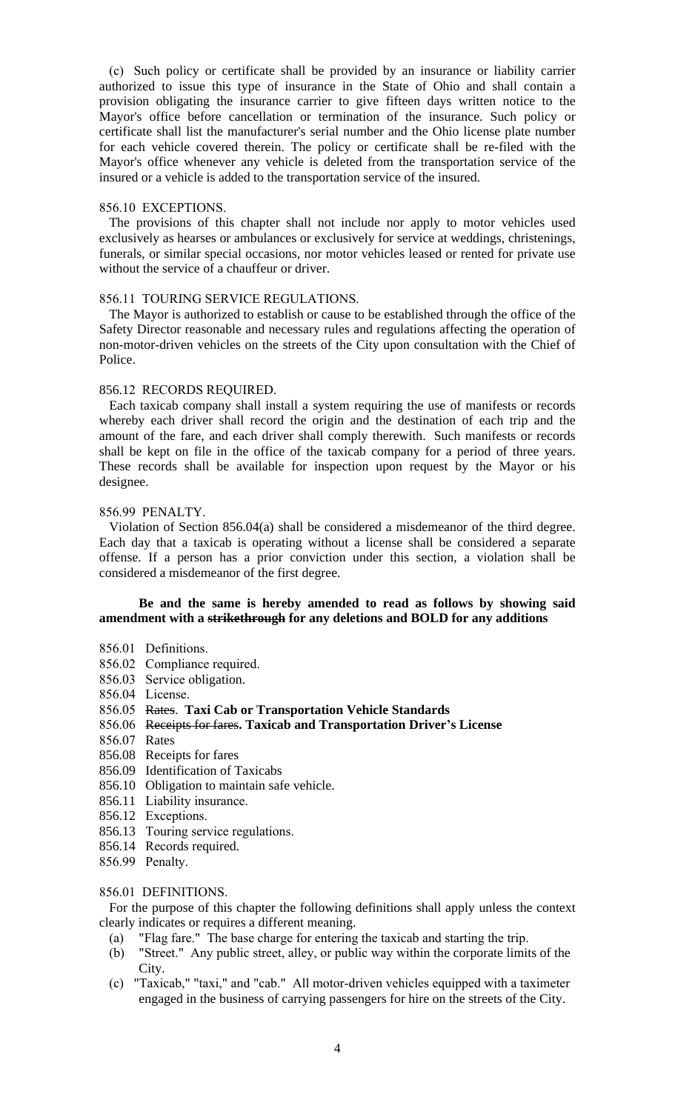(c) Such policy or certificate shall be provided by an insurance or liability carrier authorized to issue this type of insurance in the State of Ohio and shall contain a provision obligating the insurance carrier to give fifteen days written notice to the Mayor's office before cancellation or termination of the insurance. Such policy or certificate shall list the manufacturer's serial number and the Ohio license plate number for each vehicle covered therein. The policy or certificate shall be re-filed with the Mayor's office whenever any vehicle is deleted from the transportation service of the insured or a vehicle is added to the transportation service of the insured.

## 856.10 EXCEPTIONS.

The provisions of this chapter shall not include nor apply to motor vehicles used exclusively as hearses or ambulances or exclusively for service at weddings, christenings, funerals, or similar special occasions, nor motor vehicles leased or rented for private use without the service of a chauffeur or driver.

# 856.11 TOURING SERVICE REGULATIONS.

The Mayor is authorized to establish or cause to be established through the office of the Safety Director reasonable and necessary rules and regulations affecting the operation of non-motor-driven vehicles on the streets of the City upon consultation with the Chief of Police.

# 856.12 RECORDS REQUIRED.

Each taxicab company shall install a system requiring the use of manifests or records whereby each driver shall record the origin and the destination of each trip and the amount of the fare, and each driver shall comply therewith. Such manifests or records shall be kept on file in the office of the taxicab company for a period of three years. These records shall be available for inspection upon request by the Mayor or his designee.

# 856.99 PENALTY.

Violation of Section 856.04(a) shall be considered a misdemeanor of the third degree. Each day that a taxicab is operating without a license shall be considered a separate offense. If a person has a prior conviction under this section, a violation shall be considered a misdemeanor of the first degree.

# **Be and the same is hereby amended to read as follows by showing said amendment with a strikethrough for any deletions and BOLD for any additions**

- 856.01 Definitions.
- 856.02 Compliance required.
- 856.03 Service obligation.
- 856.04 License.
- 856.05 Rates. **Taxi Cab or Transportation Vehicle Standards**
- 856.06 Receipts for fares**. Taxicab and Transportation Driver's License**
- 856.07 Rates
- 856.08 Receipts for fares
- 856.09 Identification of Taxicabs
- 856.10 Obligation to maintain safe vehicle.
- 856.11 Liability insurance.
- 856.12 Exceptions.
- 856.13 Touring service regulations.
- 856.14 Records required.
- 856.99 Penalty.

# 856.01 DEFINITIONS.

For the purpose of this chapter the following definitions shall apply unless the context clearly indicates or requires a different meaning.

- (a) "Flag fare." The base charge for entering the taxicab and starting the trip.
- (b) "Street." Any public street, alley, or public way within the corporate limits of the City.
- (c) "Taxicab," "taxi," and "cab." All motor-driven vehicles equipped with a taximeter engaged in the business of carrying passengers for hire on the streets of the City.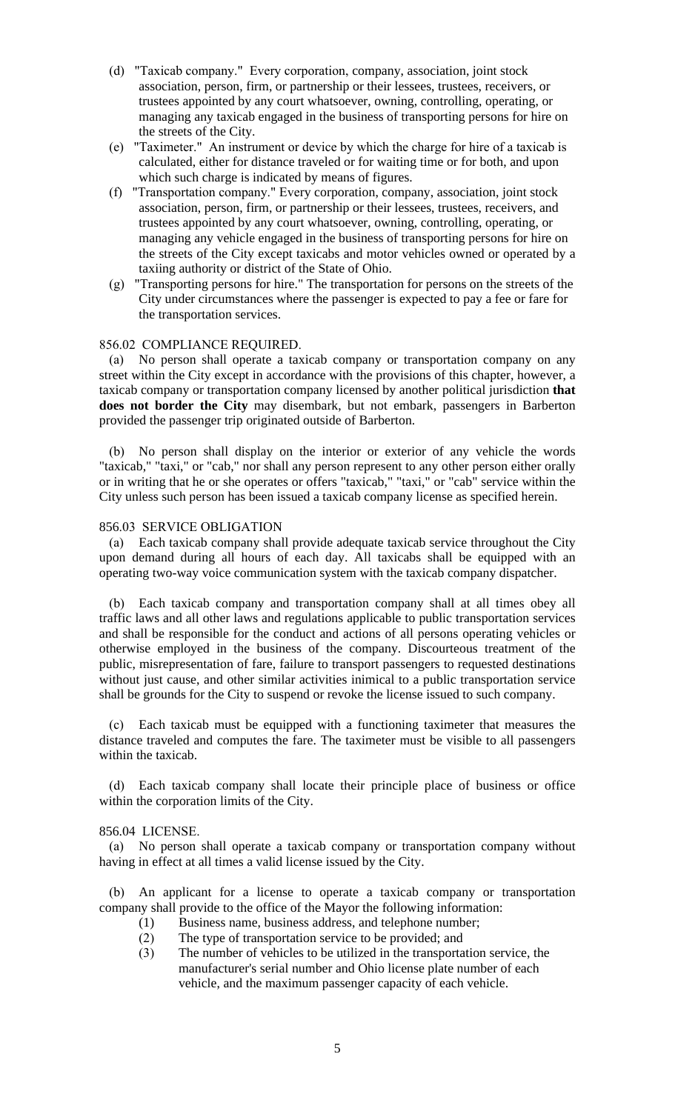- (d) "Taxicab company." Every corporation, company, association, joint stock association, person, firm, or partnership or their lessees, trustees, receivers, or trustees appointed by any court whatsoever, owning, controlling, operating, or managing any taxicab engaged in the business of transporting persons for hire on the streets of the City.
- (e) "Taximeter." An instrument or device by which the charge for hire of a taxicab is calculated, either for distance traveled or for waiting time or for both, and upon which such charge is indicated by means of figures.
- (f) "Transportation company." Every corporation, company, association, joint stock association, person, firm, or partnership or their lessees, trustees, receivers, and trustees appointed by any court whatsoever, owning, controlling, operating, or managing any vehicle engaged in the business of transporting persons for hire on the streets of the City except taxicabs and motor vehicles owned or operated by a taxiing authority or district of the State of Ohio.
- (g) "Transporting persons for hire." The transportation for persons on the streets of the City under circumstances where the passenger is expected to pay a fee or fare for the transportation services.

## 856.02 COMPLIANCE REQUIRED.

 (a) No person shall operate a taxicab company or transportation company on any street within the City except in accordance with the provisions of this chapter, however, a taxicab company or transportation company licensed by another political jurisdiction **that does not border the City** may disembark, but not embark, passengers in Barberton provided the passenger trip originated outside of Barberton.

 (b) No person shall display on the interior or exterior of any vehicle the words "taxicab," "taxi," or "cab," nor shall any person represent to any other person either orally or in writing that he or she operates or offers "taxicab," "taxi," or "cab" service within the City unless such person has been issued a taxicab company license as specified herein.

# 856.03 SERVICE OBLIGATION

 (a) Each taxicab company shall provide adequate taxicab service throughout the City upon demand during all hours of each day. All taxicabs shall be equipped with an operating two-way voice communication system with the taxicab company dispatcher.

 (b) Each taxicab company and transportation company shall at all times obey all traffic laws and all other laws and regulations applicable to public transportation services and shall be responsible for the conduct and actions of all persons operating vehicles or otherwise employed in the business of the company. Discourteous treatment of the public, misrepresentation of fare, failure to transport passengers to requested destinations without just cause, and other similar activities inimical to a public transportation service shall be grounds for the City to suspend or revoke the license issued to such company.

 (c) Each taxicab must be equipped with a functioning taximeter that measures the distance traveled and computes the fare. The taximeter must be visible to all passengers within the taxicab.

 (d) Each taxicab company shall locate their principle place of business or office within the corporation limits of the City.

## 856.04 LICENSE.

 (a) No person shall operate a taxicab company or transportation company without having in effect at all times a valid license issued by the City.

 (b) An applicant for a license to operate a taxicab company or transportation company shall provide to the office of the Mayor the following information:

- (1) Business name, business address, and telephone number;
- (2) The type of transportation service to be provided; and
- (3) The number of vehicles to be utilized in the transportation service, the manufacturer's serial number and Ohio license plate number of each vehicle, and the maximum passenger capacity of each vehicle.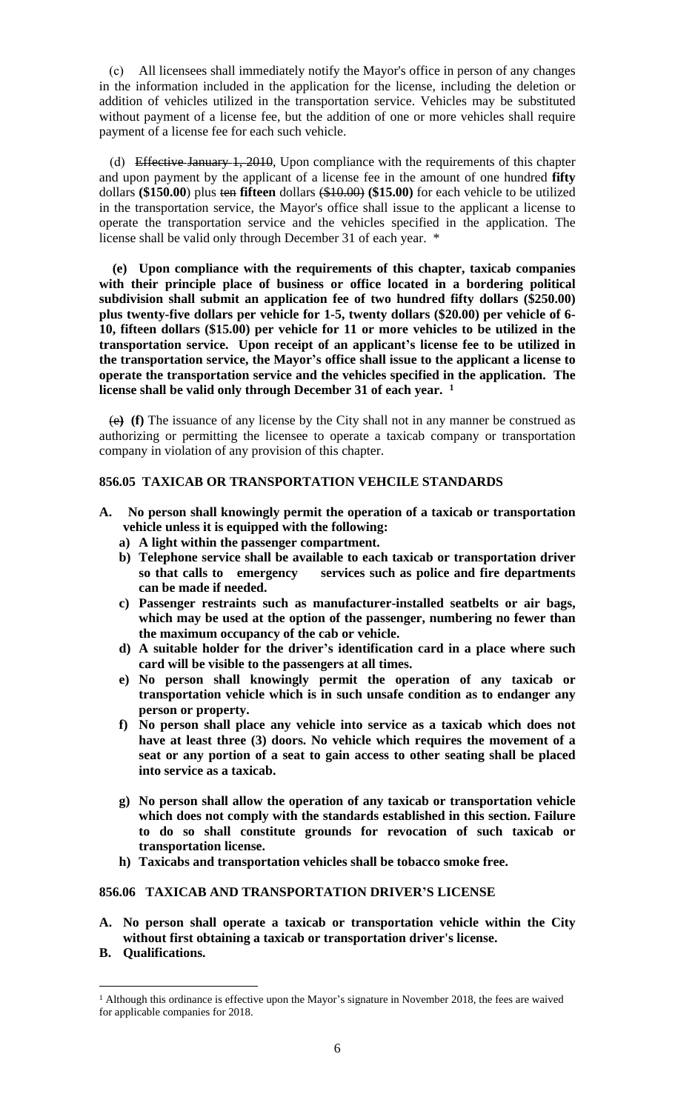(c) All licensees shall immediately notify the Mayor's office in person of any changes in the information included in the application for the license, including the deletion or addition of vehicles utilized in the transportation service. Vehicles may be substituted without payment of a license fee, but the addition of one or more vehicles shall require payment of a license fee for each such vehicle.

 (d) Effective January 1, 2010, Upon compliance with the requirements of this chapter and upon payment by the applicant of a license fee in the amount of one hundred **fifty** dollars **(\$150.00**) plus ten **fifteen** dollars (\$10.00) **(\$15.00)** for each vehicle to be utilized in the transportation service, the Mayor's office shall issue to the applicant a license to operate the transportation service and the vehicles specified in the application. The license shall be valid only through December 31 of each year. \*

 **(e) Upon compliance with the requirements of this chapter, taxicab companies with their principle place of business or office located in a bordering political subdivision shall submit an application fee of two hundred fifty dollars (\$250.00) plus twenty-five dollars per vehicle for 1-5, twenty dollars (\$20.00) per vehicle of 6- 10, fifteen dollars (\$15.00) per vehicle for 11 or more vehicles to be utilized in the transportation service. Upon receipt of an applicant's license fee to be utilized in the transportation service, the Mayor's office shall issue to the applicant a license to operate the transportation service and the vehicles specified in the application. The license shall be valid only through December 31 of each year. <sup>1</sup>**

(e**) (f)** The issuance of any license by the City shall not in any manner be construed as authorizing or permitting the licensee to operate a taxicab company or transportation company in violation of any provision of this chapter.

## **856.05 TAXICAB OR TRANSPORTATION VEHCILE STANDARDS**

- **A. No person shall knowingly permit the operation of a taxicab or transportation vehicle unless it is equipped with the following:** 
	- **a) A light within the passenger compartment.**
	- **b) Telephone service shall be available to each taxicab or transportation driver so that calls to emergency services such as police and fire departments can be made if needed.**
	- **c) Passenger restraints such as manufacturer-installed seatbelts or air bags, which may be used at the option of the passenger, numbering no fewer than the maximum occupancy of the cab or vehicle.**
	- **d) A suitable holder for the driver's identification card in a place where such card will be visible to the passengers at all times.**
	- **e) No person shall knowingly permit the operation of any taxicab or transportation vehicle which is in such unsafe condition as to endanger any person or property.**
	- **f) No person shall place any vehicle into service as a taxicab which does not have at least three (3) doors. No vehicle which requires the movement of a seat or any portion of a seat to gain access to other seating shall be placed into service as a taxicab.**
	- **g) No person shall allow the operation of any taxicab or transportation vehicle which does not comply with the standards established in this section. Failure to do so shall constitute grounds for revocation of such taxicab or transportation license.**
	- **h) Taxicabs and transportation vehicles shall be tobacco smoke free.**

## **856.06 TAXICAB AND TRANSPORTATION DRIVER'S LICENSE**

- **A. No person shall operate a taxicab or transportation vehicle within the City without first obtaining a taxicab or transportation driver's license.**
- **B. Qualifications.**

<sup>&</sup>lt;sup>1</sup> Although this ordinance is effective upon the Mayor's signature in November 2018, the fees are waived for applicable companies for 2018.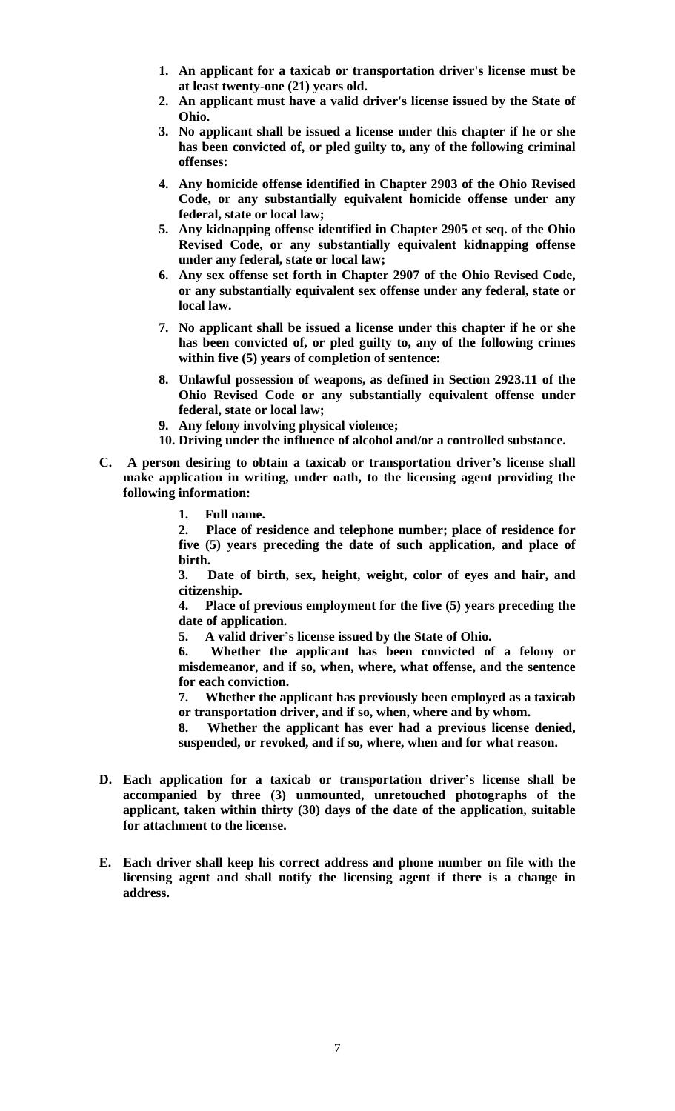- **1. An applicant for a taxicab or transportation driver's license must be at least twenty-one (21) years old.**
- **2. An applicant must have a valid driver's license issued by the State of Ohio.**
- **3. No applicant shall be issued a license under this chapter if he or she has been convicted of, or pled guilty to, any of the following criminal offenses:**
- **4. Any homicide offense identified in Chapter 2903 of the Ohio Revised Code, or any substantially equivalent homicide offense under any federal, state or local law;**
- **5. Any kidnapping offense identified in Chapter 2905 et seq. of the Ohio Revised Code, or any substantially equivalent kidnapping offense under any federal, state or local law;**
- **6. Any sex offense set forth in Chapter 2907 of the Ohio Revised Code, or any substantially equivalent sex offense under any federal, state or local law.**
- **7. No applicant shall be issued a license under this chapter if he or she has been convicted of, or pled guilty to, any of the following crimes within five (5) years of completion of sentence:**
- **8. Unlawful possession of weapons, as defined in Section 2923.11 of the Ohio Revised Code or any substantially equivalent offense under federal, state or local law;**
- **9. Any felony involving physical violence;**
- **10. Driving under the influence of alcohol and/or a controlled substance.**
- **C. A person desiring to obtain a taxicab or transportation driver's license shall make application in writing, under oath, to the licensing agent providing the following information:** 
	- **1. Full name.**

**2. Place of residence and telephone number; place of residence for five (5) years preceding the date of such application, and place of birth.** 

**3. Date of birth, sex, height, weight, color of eyes and hair, and citizenship.** 

**4. Place of previous employment for the five (5) years preceding the date of application.** 

**5. A valid driver's license issued by the State of Ohio.**

**6. Whether the applicant has been convicted of a felony or misdemeanor, and if so, when, where, what offense, and the sentence for each conviction.** 

**7. Whether the applicant has previously been employed as a taxicab or transportation driver, and if so, when, where and by whom.**

**8. Whether the applicant has ever had a previous license denied, suspended, or revoked, and if so, where, when and for what reason.**

- **D. Each application for a taxicab or transportation driver's license shall be accompanied by three (3) unmounted, unretouched photographs of the applicant, taken within thirty (30) days of the date of the application, suitable for attachment to the license.**
- **E. Each driver shall keep his correct address and phone number on file with the licensing agent and shall notify the licensing agent if there is a change in address.**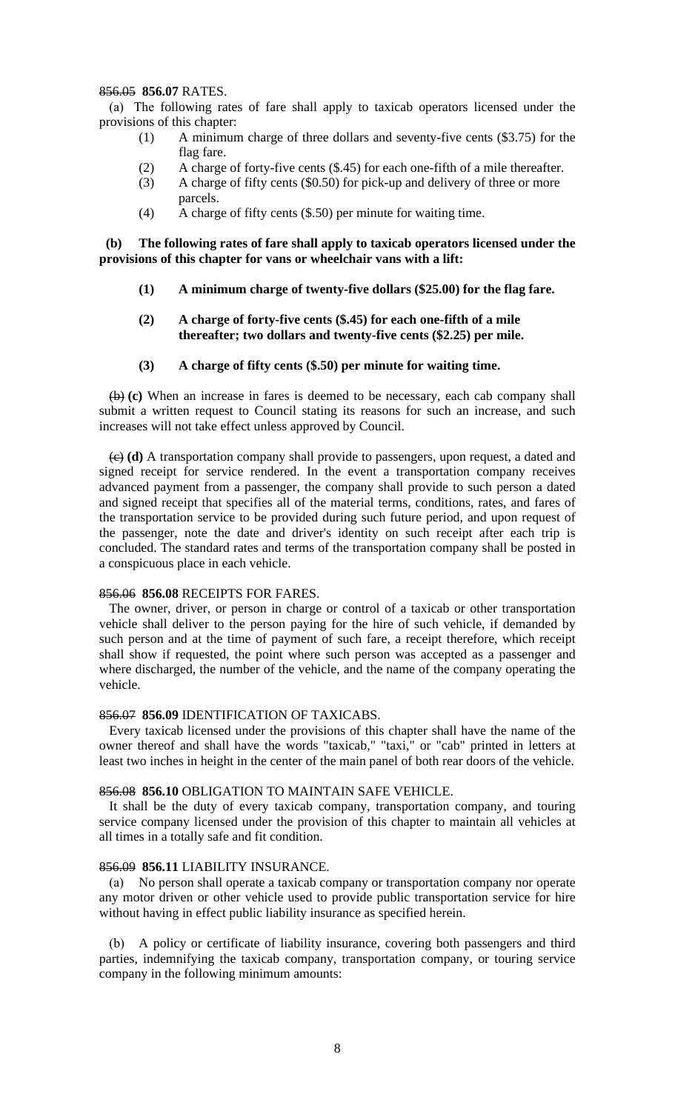## 856.05 **856.07** RATES.

 (a) The following rates of fare shall apply to taxicab operators licensed under the provisions of this chapter:

- (1) A minimum charge of three dollars and seventy-five cents (\$3.75) for the flag fare.
- (2) A charge of forty-five cents (\$.45) for each one-fifth of a mile thereafter.
- (3) A charge of fifty cents (\$0.50) for pick-up and delivery of three or more parcels.
- (4) A charge of fifty cents (\$.50) per minute for waiting time.

 **(b) The following rates of fare shall apply to taxicab operators licensed under the provisions of this chapter for vans or wheelchair vans with a lift:**

- **(1) A minimum charge of twenty-five dollars (\$25.00) for the flag fare.**
- **(2) A charge of forty-five cents (\$.45) for each one-fifth of a mile thereafter; two dollars and twenty-five cents (\$2.25) per mile.**
- **(3) A charge of fifty cents (\$.50) per minute for waiting time.**

(b) **(c)** When an increase in fares is deemed to be necessary, each cab company shall submit a written request to Council stating its reasons for such an increase, and such increases will not take effect unless approved by Council.

(c) **(d)** A transportation company shall provide to passengers, upon request, a dated and signed receipt for service rendered. In the event a transportation company receives advanced payment from a passenger, the company shall provide to such person a dated and signed receipt that specifies all of the material terms, conditions, rates, and fares of the transportation service to be provided during such future period, and upon request of the passenger, note the date and driver's identity on such receipt after each trip is concluded. The standard rates and terms of the transportation company shall be posted in a conspicuous place in each vehicle.

#### 856.06 **856.08** RECEIPTS FOR FARES.

The owner, driver, or person in charge or control of a taxicab or other transportation vehicle shall deliver to the person paying for the hire of such vehicle, if demanded by such person and at the time of payment of such fare, a receipt therefore, which receipt shall show if requested, the point where such person was accepted as a passenger and where discharged, the number of the vehicle, and the name of the company operating the vehicle.

#### 856.07 **856.09** IDENTIFICATION OF TAXICABS.

Every taxicab licensed under the provisions of this chapter shall have the name of the owner thereof and shall have the words "taxicab," "taxi," or "cab" printed in letters at least two inches in height in the center of the main panel of both rear doors of the vehicle.

#### 856.08 **856.10** OBLIGATION TO MAINTAIN SAFE VEHICLE.

It shall be the duty of every taxicab company, transportation company, and touring service company licensed under the provision of this chapter to maintain all vehicles at all times in a totally safe and fit condition.

#### 856.09 **856.11** LIABILITY INSURANCE.

 (a) No person shall operate a taxicab company or transportation company nor operate any motor driven or other vehicle used to provide public transportation service for hire without having in effect public liability insurance as specified herein.

 (b) A policy or certificate of liability insurance, covering both passengers and third parties, indemnifying the taxicab company, transportation company, or touring service company in the following minimum amounts: